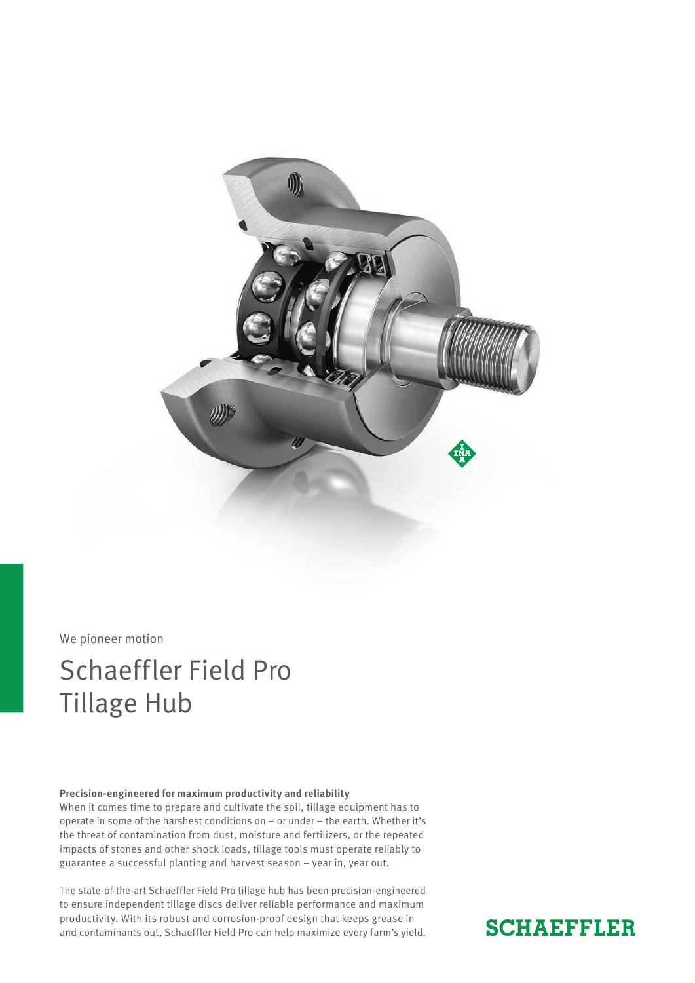

#### We pioneer motion

## Schaeffler Field Pro Tillage Hub

#### **Precision-engineered for maximum productivity and reliability**

When it comes time to prepare and cultivate the soil, tillage equipment has to operate in some of the harshest conditions on – or under – the earth. Whether it's the threat of contamination from dust, moisture and fertilizers, or the repeated impacts of stones and other shock loads, tillage tools must operate reliably to guarantee a successful planting and harvest season – year in, year out.

The state-of-the-art Schaeffler Field Pro tillage hub has been precision-engineered to ensure independent tillage discs deliver reliable performance and maximum productivity. With its robust and corrosion-proof design that keeps grease in and contaminants out, Schaeffler Field Pro can help maximize every farm's yield.

### **SCHAEFFLER**